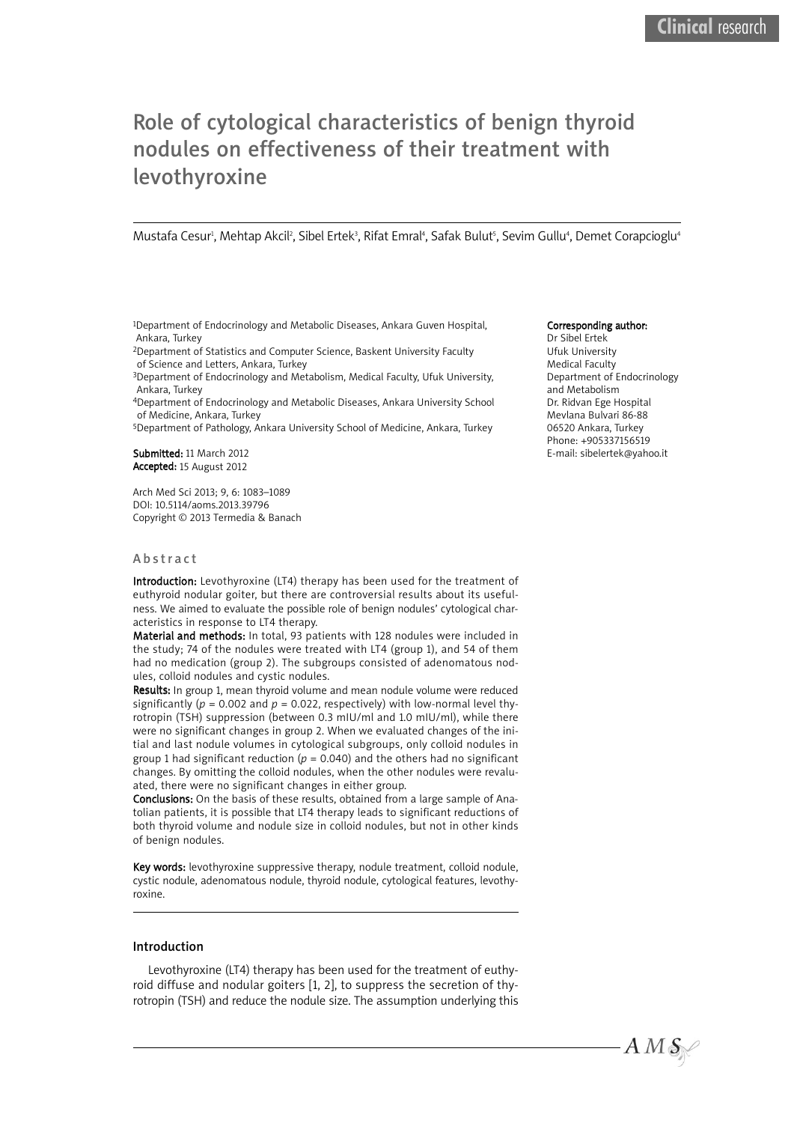# Role of cytological characteristics of benign thyroid nodules on effectiveness of their treatment with levothyroxine

Mustafa Cesur<sup>ı</sup>, Mehtap Akcil<sup>2</sup>, Sibel Ertek<sup>3</sup>, Rifat Emral<sup>4</sup>, Safak Bulut<sup>s</sup>, Sevim Gullu<sup>4</sup>, Demet Corapcioglu<sup>4</sup>

1Department of Endocrinology and Metabolic Diseases, Ankara Guven Hospital, Ankara, Turkey

2Department of Statistics and Computer Science, Baskent University Faculty of Science and Letters, Ankara, Turkey

3Department of Endocrinology and Metabolism, Medical Faculty, Ufuk University, Ankara, Turkey

4Department of Endocrinology and Metabolic Diseases, Ankara University School of Medicine, Ankara, Turkey

5Department of Pathology, Ankara University School of Medicine, Ankara, Turkey

Submitted: 11 March 2012 Accepted: 15 August 2012

Arch Med Sci 2013; 9, 6: 1083–1089 DOI: 10.5114/aoms.2013.39796 Copyright © 2013 Termedia & Banach

# **Abstract**

Introduction: Levothyroxine (LT4) therapy has been used for the treatment of euthyroid nodular goiter, but there are controversial results about its usefulness. We aimed to evaluate the possible role of benign nodules' cytological characteristics in response to LT4 therapy.

Material and methods: In total, 93 patients with 128 nodules were included in the study; 74 of the nodules were treated with LT4 (group 1), and 54 of them had no medication (group 2). The subgroups consisted of adenomatous nodules, colloid nodules and cystic nodules.

Results: In group 1, mean thyroid volume and mean nodule volume were reduced significantly ( $p = 0.002$  and  $p = 0.022$ , respectively) with low-normal level thyrotropin (TSH) suppression (between 0.3 mIU/ml and 1.0 mIU/ml), while there were no significant changes in group 2. When we evaluated changes of the initial and last nodule volumes in cytological subgroups, only colloid nodules in group 1 had significant reduction ( $p = 0.040$ ) and the others had no significant changes. By omitting the colloid nodules, when the other nodules were revaluated, there were no significant changes in either group.

Conclusions: On the basis of these results, obtained from a large sample of Anatolian patients, it is possible that LT4 therapy leads to significant reductions of both thyroid volume and nodule size in colloid nodules, but not in other kinds of benign nodules.

Key words: levothyroxine suppressive therapy, nodule treatment, colloid nodule, cystic nodule, adenomatous nodule, thyroid nodule, cytological features, levothyroxine.

### Introduction

Levothyroxine (LT4) therapy has been used for the treatment of euthyroid diffuse and nodular goiters [1, 2], to suppress the secretion of thyrotropin (TSH) and reduce the nodule size. The assumption underlying this

### Corresponding author:

Dr Sibel Ertek Ufuk University Medical Faculty Department of Endocrinology and Metabolism Dr. Ridvan Ege Hospital Mevlana Bulvari 86-88 06520 Ankara, Turkey Phone: +905337156519 E-mail: sibelertek@yahoo.it

 $A\,M\,\mathcal{S}_\mathbb{N}$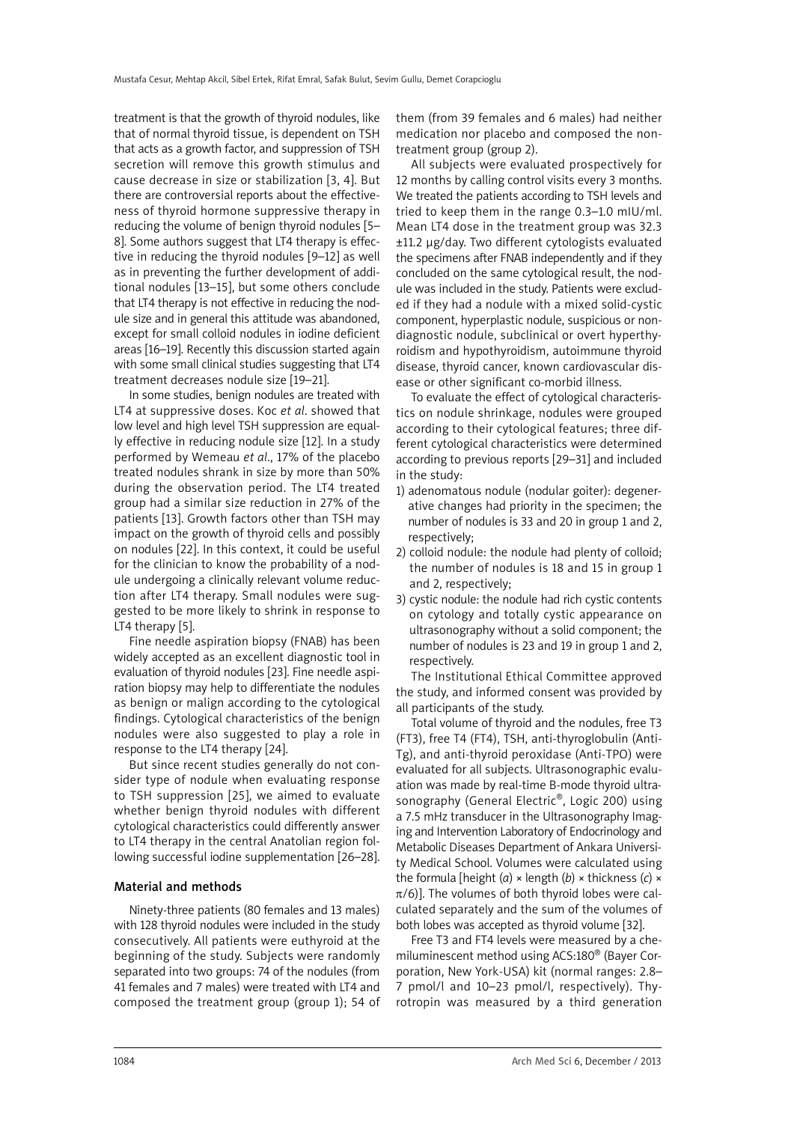treatment is that the growth of thyroid nodules, like that of normal thyroid tissue, is dependent on TSH that acts as a growth factor, and suppression of TSH secretion will remove this growth stimulus and cause decrease in size or stabilization [3, 4]. But there are controversial reports about the effectiveness of thyroid hormone suppressive therapy in reducing the volume of benign thyroid nodules [5– 8]. Some authors suggest that LT4 therapy is effective in reducing the thyroid nodules [9–12] as well as in preventing the further development of additional nodules [13–15], but some others conclude that LT4 therapy is not effective in reducing the nodule size and in general this attitude was abandoned, except for small colloid nodules in iodine deficient areas [16–19]. Recently this discussion started again with some small clinical studies suggesting that LT4 treatment decreases nodule size [19–21].

In some studies, benign nodules are treated with LT4 at suppressive doses. Koc *et al*. showed that low level and high level TSH suppression are equally effective in reducing nodule size [12]. In a study performed by Wemeau *et al*., 17% of the placebo treated nodules shrank in size by more than 50% during the observation period. The LT4 treated group had a similar size reduction in 27% of the patients [13]. Growth factors other than TSH may impact on the growth of thyroid cells and possibly on nodules [22]. In this context, it could be useful for the clinician to know the probability of a nodule undergoing a clinically relevant volume reduction after LT4 therapy. Small nodules were suggested to be more likely to shrink in response to LT4 therapy [5].

Fine needle aspiration biopsy (FNAB) has been widely accepted as an excellent diagnostic tool in evaluation of thyroid nodules [23]. Fine needle aspiration biopsy may help to differentiate the nodules as benign or malign according to the cytological findings. Cytological characteristics of the benign nodules were also suggested to play a role in response to the LT4 therapy [24].

But since recent studies generally do not consider type of nodule when evaluating response to TSH suppression [25], we aimed to evaluate whether benign thyroid nodules with different cytological characteristics could differently answer to LT4 therapy in the central Anatolian region following successful iodine supplementation [26–28].

## Material and methods

Ninety-three patients (80 females and 13 males) with 128 thyroid nodules were included in the study consecutively. All patients were euthyroid at the beginning of the study. Subjects were randomly separated into two groups: 74 of the nodules (from 41 females and 7 males) were treated with LT4 and composed the treatment group (group 1); 54 of

them (from 39 females and 6 males) had neither medication nor placebo and composed the nontreatment group (group 2).

All subjects were evaluated prospectively for 12 months by calling control visits every 3 months. We treated the patients according to TSH levels and tried to keep them in the range 0.3–1.0 mIU/ml. Mean LT4 dose in the treatment group was 32.3 ±11.2 µg/day. Two different cytologists evaluated the specimens after FNAB independently and if they concluded on the same cytological result, the nodule was included in the study. Patients were excluded if they had a nodule with a mixed solid-cystic component, hyperplastic nodule, suspicious or nondiagnostic nodule, subclinical or overt hyperthyroidism and hypothyroidism, autoimmune thyroid disease, thyroid cancer, known cardiovascular disease or other significant co-morbid illness.

To evaluate the effect of cytological characteristics on nodule shrinkage, nodules were grouped according to their cytological features; three different cytological characteristics were determined according to previous reports [29–31] and included in the study:

- 1) adenomatous nodule (nodular goiter): degenerative changes had priority in the specimen; the number of nodules is 33 and 20 in group 1 and 2, respectively;
- 2) colloid nodule: the nodule had plenty of colloid; the number of nodules is 18 and 15 in group 1 and 2, respectively;
- 3) cystic nodule: the nodule had rich cystic contents on cytology and totally cystic appearance on ultrasonography without a solid component; the number of nodules is 23 and 19 in group 1 and 2, respectively.

The Institutional Ethical Committee approved the study, and informed consent was provided by all participants of the study.

Total volume of thyroid and the nodules, free T3 (FT3), free T4 (FT4), TSH, anti-thyroglobulin (Anti-Tg), and anti-thyroid peroxidase (Anti-TPO) were evaluated for all subjects. Ultrasonographic evaluation was made by real-time B-mode thyroid ultrasonography (General Electric®, Logic 200) using a 7.5 mHz transducer in the Ultrasonography Imaging and Intervention Laboratory of Endocrinology and Metabolic Diseases Department of Ankara University Medical School. Volumes were calculated using the formula [height (*a*) × length (*b*) × thickness (*c*) ×  $\pi$ /6)]. The volumes of both thyroid lobes were calculated separately and the sum of the volumes of both lobes was accepted as thyroid volume [32].

Free T3 and FT4 levels were measured by a chemiluminescent method using ACS:180® (Bayer Corporation, New York-USA) kit (normal ranges: 2.8– 7 pmol/l and 10–23 pmol/l, respectively). Thyrotropin was measured by a third generation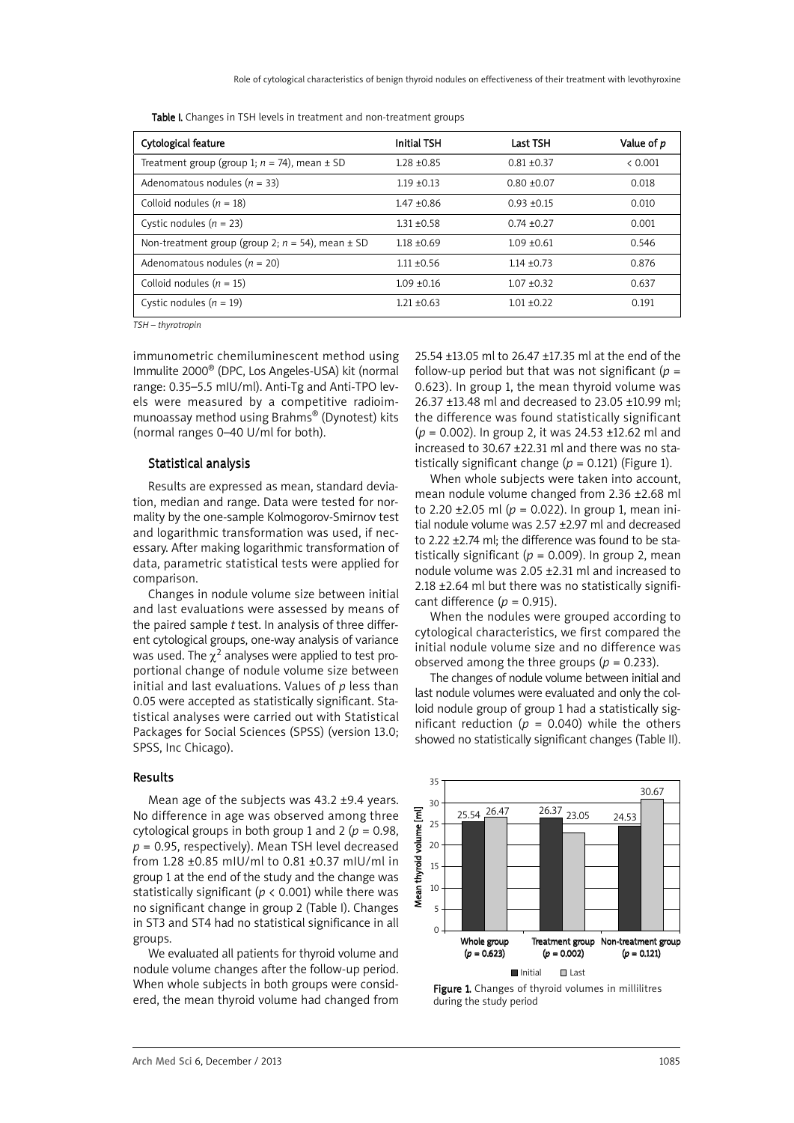| Table I. Changes in TSH levels in treatment and non-treatment groups |  |  |
|----------------------------------------------------------------------|--|--|
|----------------------------------------------------------------------|--|--|

| Cytological feature                                     | <b>Initial TSH</b> | <b>Last TSH</b> | Value of p |
|---------------------------------------------------------|--------------------|-----------------|------------|
| Treatment group (group 1; $n = 74$ ), mean $\pm$ SD     | $1.28 + 0.85$      | $0.81 + 0.37$   | < 0.001    |
| Adenomatous nodules ( $n = 33$ )                        | $1.19 \pm 0.13$    | $0.80 + 0.07$   | 0.018      |
| Colloid nodules ( $n = 18$ )                            | $1.47 + 0.86$      | $0.93 + 0.15$   | 0.010      |
| Cystic nodules $(n = 23)$                               | $1.31 + 0.58$      | $0.74 + 0.27$   | 0.001      |
| Non-treatment group (group 2; $n = 54$ ), mean $\pm$ SD | $1.18 + 0.69$      | $1.09 + 0.61$   | 0.546      |
| Adenomatous nodules ( $n = 20$ )                        | $1.11 + 0.56$      | $1.14 + 0.73$   | 0.876      |
| Colloid nodules ( $n = 15$ )                            | $1.09 + 0.16$      | $1.07 + 0.32$   | 0.637      |
| Cystic nodules $(n = 19)$                               | $1.21 + 0.63$      | $1.01 + 0.22$   | 0.191      |

*TSH – thyrotropin*

immunometric chemiluminescent method using Immulite 2000® (DPC, Los Angeles-USA) kit (normal range: 0.35–5.5 mIU/ml). Anti-Tg and Anti-TPO levels were measured by a competitive radioimmunoassay method using Brahms® (Dynotest) kits (normal ranges 0–40 U/ml for both).

# Statistical analysis

Results are expressed as mean, standard deviation, median and range. Data were tested for normality by the one-sample Kolmogorov-Smirnov test and logarithmic transformation was used, if necessary. After making logarithmic transformation of data, parametric statistical tests were applied for comparison.

Changes in nodule volume size between initial and last evaluations were assessed by means of the paired sample *t* test. In analysis of three different cytological groups, one-way analysis of variance was used. The  $\chi^2$  analyses were applied to test proportional change of nodule volume size between initial and last evaluations. Values of *p* less than 0.05 were accepted as statistically significant. Statistical analyses were carried out with Statistical Packages for Social Sciences (SPSS) (version 13.0; SPSS, Inc Chicago).

### Results

Mean age of the subjects was 43.2 ±9.4 years. No difference in age was observed among three cytological groups in both group 1 and 2 ( $p = 0.98$ . *p* = 0.95, respectively). Mean TSH level decreased from 1.28 ±0.85 mIU/ml to 0.81 ±0.37 mIU/ml in group 1 at the end of the study and the change was statistically significant ( $p < 0.001$ ) while there was no significant change in group 2 (Table I). Changes in ST3 and ST4 had no statistical significance in all groups.

We evaluated all patients for thyroid volume and nodule volume changes after the follow-up period. When whole subjects in both groups were considered, the mean thyroid volume had changed from

25.54 ±13.05 ml to 26.47 ±17.35 ml at the end of the follow-up period but that was not significant ( $p =$ 0.623). In group 1, the mean thyroid volume was 26.37 ±13.48 ml and decreased to 23.05 ±10.99 ml; the difference was found statistically significant (*p* = 0.002). In group 2, it was 24.53 ±12.62 ml and increased to 30.67 ±22.31 ml and there was no statistically significant change  $(p = 0.121)$  (Figure 1).

When whole subjects were taken into account, mean nodule volume changed from 2.36 ±2.68 ml to 2.20  $\pm$ 2.05 ml ( $p = 0.022$ ). In group 1, mean initial nodule volume was 2.57 ±2.97 ml and decreased to 2.22 ±2.74 ml; the difference was found to be statistically significant ( $p = 0.009$ ). In group 2, mean nodule volume was 2.05 ±2.31 ml and increased to 2.18 ±2.64 ml but there was no statistically significant difference  $(p = 0.915)$ .

When the nodules were grouped according to cytological characteristics, we first compared the initial nodule volume size and no difference was observed among the three groups ( $p = 0.233$ ).

The changes of nodule volume between initial and last nodule volumes were evaluated and only the colloid nodule group of group 1 had a statistically significant reduction ( $p = 0.040$ ) while the others showed no statistically significant changes (Table II).



Figure 1. Changes of thyroid volumes in millilitres during the study period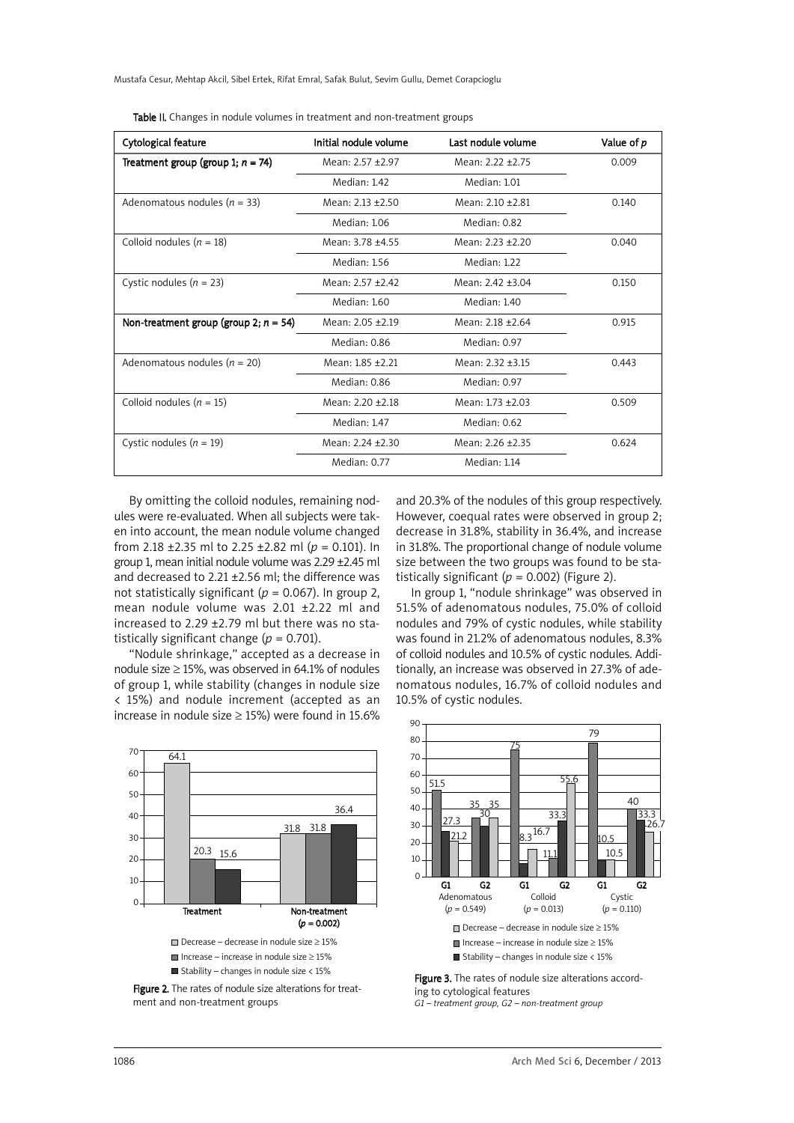Mustafa Cesur, Mehtap Akcil, Sibel Ertek, Rifat Emral, Safak Bulut, Sevim Gullu, Demet Corapcioglu

| Cytological feature                      | Initial nodule volume | Last nodule volume | Value of p |
|------------------------------------------|-----------------------|--------------------|------------|
| Treatment group (group 1; $n = 74$ )     | Mean: 2.57 +2.97      | Mean: 2.22 +2.75   | 0.009      |
|                                          | Median: 1.42          | Median: 1.01       |            |
| Adenomatous nodules ( $n = 33$ )         | Mean: 2.13 +2.50      | Mean: 2.10 +2.81   | 0.140      |
|                                          | Median: 1.06          | Median: 0.82       |            |
| Colloid nodules ( $n = 18$ )             | Mean: 3.78 +4.55      | Mean: 2.23 +2.20   | 0.040      |
|                                          | Median: 1.56          | Median: 1.22       |            |
| Cystic nodules $(n = 23)$                | Mean: 2.57 +2.42      | Mean: 2.42 +3.04   | 0.150      |
|                                          | Median: 1.60          | Median: 1.40       |            |
| Non-treatment group (group 2; $n = 54$ ) | Mean: $2.05 + 2.19$   | Mean: 2.18 +2.64   | 0.915      |
|                                          | Median: 0.86          | Median: 0.97       |            |
| Adenomatous nodules ( $n = 20$ )         | Mean: 1.85 +2.21      | Mean: 2.32 +3.15   | 0.443      |
|                                          | Median: 0.86          | Median: 0.97       |            |
| Colloid nodules ( $n = 15$ )             | Mean: 2.20 ±2.18      | Mean: 1.73 +2.03   | 0.509      |
|                                          | Median: 1.47          | Median: 0.62       |            |
| Cystic nodules $(n = 19)$                | Mean: 2.24 +2.30      | Mean: 2.26 +2.35   | 0.624      |
|                                          | Median: 0.77          | Median: 1.14       |            |

Table II. Changes in nodule volumes in treatment and non-treatment groups

By omitting the colloid nodules, remaining nodules were re-evaluated. When all subjects were taken into account, the mean nodule volume changed from 2.18 ±2.35 ml to 2.25 ±2.82 ml (*p* = 0.101). In group 1, mean initial nodule volume was 2.29 ±2.45 ml and decreased to 2.21 ±2.56 ml; the difference was not statistically significant ( $p = 0.067$ ). In group 2, mean nodule volume was 2.01 ±2.22 ml and increased to 2.29 ±2.79 ml but there was no statistically significant change  $(p = 0.701)$ .

"Nodule shrinkage," accepted as a decrease in nodule size  $\geq$  15%, was observed in 64.1% of nodules of group 1, while stability (changes in nodule size < 15%) and nodule increment (accepted as an increase in nodule size  $\geq$  15%) were found in 15.6%

70  $60$ 50 40 30  $20$ 10  $\sqrt{2}$ Treatment Non-treatment  $(p = 0.002)$ Decrease – decrease in nodule size ≥ 15%  $■$  Increase – increase in nodule size  $>15%$  $\blacksquare$  Stability – changes in nodule size < 15%  $64.1$ 20.3  $156$ 31.8 31.8 36.4

Figure 2. The rates of nodule size alterations for treatment and non-treatment groups

and 20.3% of the nodules of this group respectively. However, coequal rates were observed in group 2; decrease in 31.8%, stability in 36.4%, and increase in 31.8%. The proportional change of nodule volume size between the two groups was found to be statistically significant  $(p = 0.002)$  (Figure 2).

In group 1, "nodule shrinkage" was observed in 51.5% of adenomatous nodules, 75.0% of colloid nodules and 79% of cystic nodules, while stability was found in 21.2% of adenomatous nodules, 8.3% of colloid nodules and 10.5% of cystic nodules. Additionally, an increase was observed in 27.3% of adenomatous nodules, 16.7% of colloid nodules and 10.5% of cystic nodules.





*G1 – treatment group, G2 – non-treatment group*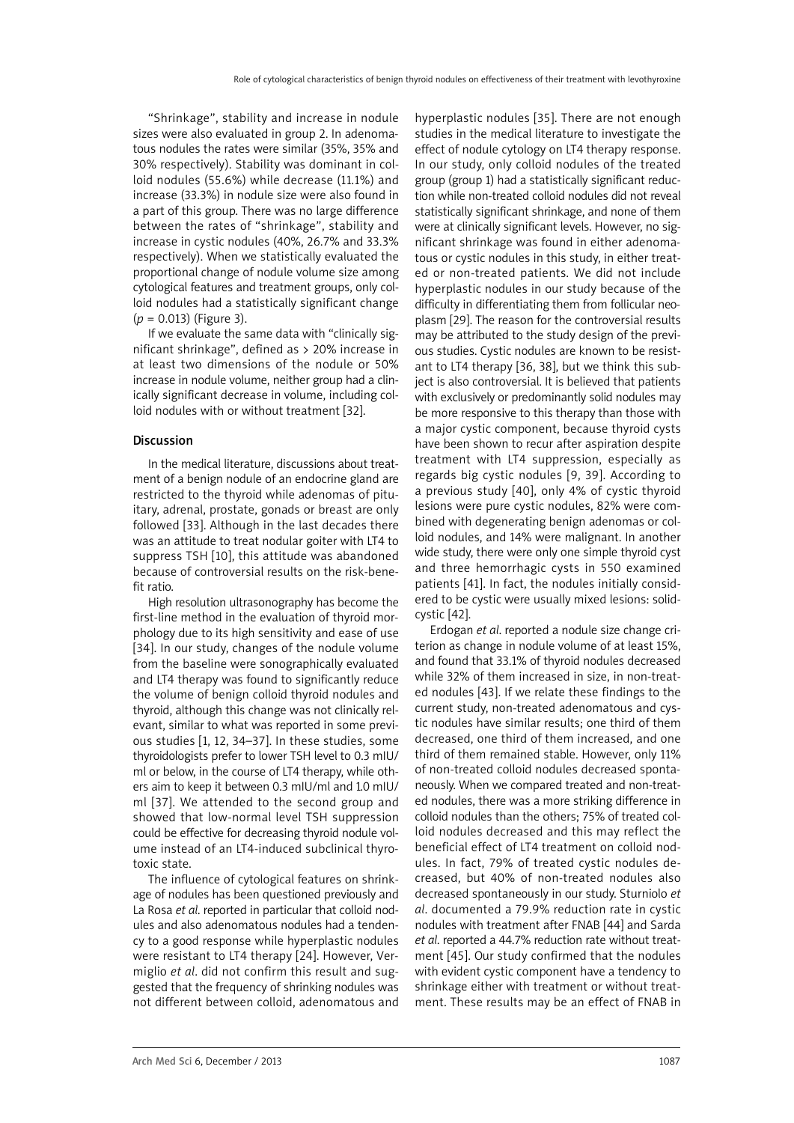"Shrinkage", stability and increase in nodule sizes were also evaluated in group 2. In adenomatous nodules the rates were similar (35%, 35% and 30% respectively). Stability was dominant in colloid nodules (55.6%) while decrease (11.1%) and increase (33.3%) in nodule size were also found in a part of this group. There was no large difference between the rates of "shrinkage", stability and increase in cystic nodules (40%, 26.7% and 33.3% respectively). When we statistically evaluated the proportional change of nodule volume size among cytological features and treatment groups, only colloid nodules had a statistically significant change (*p* = 0.013) (Figure 3).

If we evaluate the same data with "clinically significant shrinkage", defined as > 20% increase in at least two dimensions of the nodule or 50% increase in nodule volume, neither group had a clinically significant decrease in volume, including colloid nodules with or without treatment [32].

## Discussion

In the medical literature, discussions about treatment of a benign nodule of an endocrine gland are restricted to the thyroid while adenomas of pituitary, adrenal, prostate, gonads or breast are only followed [33]. Although in the last decades there was an attitude to treat nodular goiter with LT4 to suppress TSH [10], this attitude was abandoned because of controversial results on the risk-benefit ratio.

High resolution ultrasonography has become the first-line method in the evaluation of thyroid morphology due to its high sensitivity and ease of use [34]. In our study, changes of the nodule volume from the baseline were sonographically evaluated and LT4 therapy was found to significantly reduce the volume of benign colloid thyroid nodules and thyroid, although this change was not clinically relevant, similar to what was reported in some previous studies [1, 12, 34–37]. In these studies, some thyroidologists prefer to lower TSH level to 0.3 mIU/ ml or below, in the course of LT4 therapy, while others aim to keep it between 0.3 mIU/ml and 1.0 mIU/ ml [37]. We attended to the second group and showed that low-normal level TSH suppression could be effective for decreasing thyroid nodule volume instead of an LT4-induced subclinical thyrotoxic state.

The influence of cytological features on shrinkage of nodules has been questioned previously and La Rosa *et al*. reported in particular that colloid nodules and also adenomatous nodules had a tendency to a good response while hyperplastic nodules were resistant to LT4 therapy [24]. However, Vermiglio *et al*. did not confirm this result and suggested that the frequency of shrinking nodules was not different between colloid, adenomatous and hyperplastic nodules [35]. There are not enough studies in the medical literature to investigate the effect of nodule cytology on LT4 therapy response. In our study, only colloid nodules of the treated group (group 1) had a statistically significant reduction while non-treated colloid nodules did not reveal statistically significant shrinkage, and none of them were at clinically significant levels. However, no significant shrinkage was found in either adenomatous or cystic nodules in this study, in either treated or non-treated patients. We did not include hyperplastic nodules in our study because of the difficulty in differentiating them from follicular neoplasm [29]. The reason for the controversial results may be attributed to the study design of the previous studies. Cystic nodules are known to be resistant to LT4 therapy [36, 38], but we think this subject is also controversial. It is believed that patients with exclusively or predominantly solid nodules may be more responsive to this therapy than those with a major cystic component, because thyroid cysts have been shown to recur after aspiration despite treatment with LT4 suppression, especially as regards big cystic nodules [9, 39]. According to a previous study [40], only 4% of cystic thyroid lesions were pure cystic nodules, 82% were combined with degenerating benign adenomas or colloid nodules, and 14% were malignant. In another wide study, there were only one simple thyroid cyst and three hemorrhagic cysts in 550 examined patients [41]. In fact, the nodules initially considered to be cystic were usually mixed lesions: solidcystic [42].

Erdogan *et al*. reported a nodule size change criterion as change in nodule volume of at least 15%, and found that 33.1% of thyroid nodules decreased while 32% of them increased in size, in non-treated nodules [43]. If we relate these findings to the current study, non-treated adenomatous and cystic nodules have similar results; one third of them decreased, one third of them increased, and one third of them remained stable. However, only 11% of non-treated colloid nodules decreased spontaneously. When we compared treated and non-treated nodules, there was a more striking difference in colloid nodules than the others; 75% of treated colloid nodules decreased and this may reflect the beneficial effect of LT4 treatment on colloid nodules. In fact, 79% of treated cystic nodules decreased, but 40% of non-treated nodules also decreased spontaneously in our study. Sturniolo *et al*. documented a 79.9% reduction rate in cystic nodules with treatment after FNAB [44] and Sarda *et al*. reported a 44.7% reduction rate without treatment [45]. Our study confirmed that the nodules with evident cystic component have a tendency to shrinkage either with treatment or without treatment. These results may be an effect of FNAB in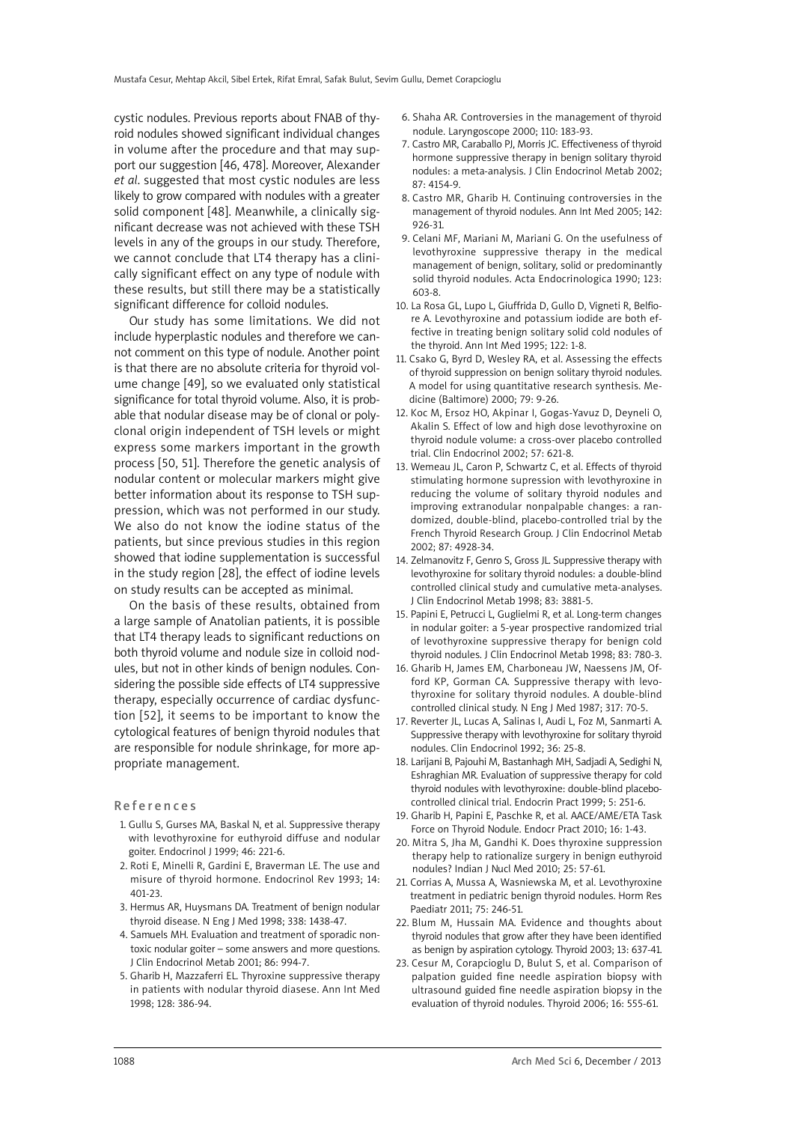cystic nodules. Previous reports about FNAB of thyroid nodules showed significant individual changes in volume after the procedure and that may support our suggestion [46, 478]. Moreover, Alexander *et al*. suggested that most cystic nodules are less likely to grow compared with nodules with a greater solid component [48]. Meanwhile, a clinically significant decrease was not achieved with these TSH levels in any of the groups in our study. Therefore, we cannot conclude that LT4 therapy has a clinically significant effect on any type of nodule with these results, but still there may be a statistically significant difference for colloid nodules.

Our study has some limitations. We did not include hyperplastic nodules and therefore we cannot comment on this type of nodule. Another point is that there are no absolute criteria for thyroid volume change [49], so we evaluated only statistical significance for total thyroid volume. Also, it is probable that nodular disease may be of clonal or polyclonal origin independent of TSH levels or might express some markers important in the growth process [50, 51]. Therefore the genetic analysis of nodular content or molecular markers might give better information about its response to TSH suppression, which was not performed in our study. We also do not know the iodine status of the patients, but since previous studies in this region showed that iodine supplementation is successful in the study region [28], the effect of iodine levels on study results can be accepted as minimal.

On the basis of these results, obtained from a large sample of Anatolian patients, it is possible that LT4 therapy leads to significant reductions on both thyroid volume and nodule size in colloid nodules, but not in other kinds of benign nodules. Considering the possible side effects of LT4 suppressive therapy, especially occurrence of cardiac dysfunction [52], it seems to be important to know the cytological features of benign thyroid nodules that are responsible for nodule shrinkage, for more appropriate management.

Re f e r e n c e s

- 1. Gullu S, Gurses MA, Baskal N, et al. Suppressive therapy with levothyroxine for euthyroid diffuse and nodular goiter. Endocrinol J 1999; 46: 221-6.
- 2. Roti E, Minelli R, Gardini E, Braverman LE. The use and misure of thyroid hormone. Endocrinol Rev 1993; 14: 401-23.
- 3. Hermus AR, Huysmans DA. Treatment of benign nodular thyroid disease. N Eng J Med 1998; 338: 1438-47.
- 4. Samuels MH. Evaluation and treatment of sporadic nontoxic nodular goiter – some answers and more questions. J Clin Endocrinol Metab 2001; 86: 994-7.
- 5. Gharib H, Mazzaferri EL. Thyroxine suppressive therapy in patients with nodular thyroid diasese. Ann Int Med 1998; 128: 386-94.
- 6. Shaha AR. Controversies in the management of thyroid nodule. Laryngoscope 2000; 110: 183-93.
- 7. Castro MR, Caraballo PJ, Morris JC. Effectiveness of thyroid hormone suppressive therapy in benign solitary thyroid nodules: a meta-analysis. J Clin Endocrinol Metab 2002; 87: 4154-9.
- 8. Castro MR, Gharib H. Continuing controversies in the management of thyroid nodules. Ann Int Med 2005; 142: 926-31.
- 9. Celani MF, Mariani M, Mariani G. On the usefulness of levothyroxine suppressive therapy in the medical management of benign, solitary, solid or predominantly solid thyroid nodules. Acta Endocrinologica 1990; 123: 603-8.
- 10. La Rosa GL, Lupo L, Giuffrida D, Gullo D, Vigneti R, Belfiore A. Levothyroxine and potassium iodide are both effective in treating benign solitary solid cold nodules of the thyroid. Ann Int Med 1995; 122: 1-8.
- 11. Csako G, Byrd D, Wesley RA, et al. Assessing the effects of thyroid suppression on benign solitary thyroid nodules. A model for using quantitative research synthesis. Medicine (Baltimore) 2000; 79: 9-26.
- 12. Koc M, Ersoz HO, Akpinar I, Gogas-Yavuz D, Deyneli O, Akalin S. Effect of low and high dose levothyroxine on thyroid nodule volume: a cross-over placebo controlled trial. Clin Endocrinol 2002; 57: 621-8.
- 13. Wemeau JL, Caron P, Schwartz C, et al. Effects of thyroid stimulating hormone supression with levothyroxine in reducing the volume of solitary thyroid nodules and improving extranodular nonpalpable changes: a randomized, double-blind, placebo-controlled trial by the French Thyroid Research Group. J Clin Endocrinol Metab 2002; 87: 4928-34.
- 14. Zelmanovitz F, Genro S, Gross JL. Suppressive therapy with levothyroxine for solitary thyroid nodules: a double-blind controlled clinical study and cumulative meta-analyses. J Clin Endocrinol Metab 1998; 83: 3881-5.
- 15. Papini E, Petrucci L, Guglielmi R, et al. Long-term changes in nodular goiter: a 5-year prospective randomized trial of levothyroxine suppressive therapy for benign cold thyroid nodules. J Clin Endocrinol Metab 1998; 83: 780-3.
- 16. Gharib H, James EM, Charboneau JW, Naessens JM, Offord KP, Gorman CA. Suppressive therapy with levothyroxine for solitary thyroid nodules. A double-blind controlled clinical study. N Eng J Med 1987; 317: 70-5.
- 17. Reverter JL, Lucas A, Salinas I, Audi L, Foz M, Sanmarti A. Suppressive therapy with levothyroxine for solitary thyroid nodules. Clin Endocrinol 1992; 36: 25-8.
- 18. Larijani B, Pajouhi M, Bastanhagh MH, Sadjadi A, Sedighi N, Eshraghian MR. Evaluation of suppressive therapy for cold thyroid nodules with levothyroxine: double-blind placebocontrolled clinical trial. Endocrin Pract 1999; 5: 251-6.
- 19. Gharib H, Papini E, Paschke R, et al. AACE/AME/ETA Task Force on Thyroid Nodule. Endocr Pract 2010; 16: 1-43.
- 20. Mitra S, Jha M, Gandhi K. Does thyroxine suppression therapy help to rationalize surgery in benign euthyroid nodules? Indian J Nucl Med 2010; 25: 57-61.
- 21. Corrias A, Mussa A, Wasniewska M, et al. Levothyroxine treatment in pediatric benign thyroid nodules. Horm Res Paediatr 2011; 75: 246-51.
- 22. Blum M, Hussain MA. Evidence and thoughts about thyroid nodules that grow after they have been identified as benign by aspiration cytology. Thyroid 2003; 13: 637-41.
- 23. Cesur M, Corapcioglu D, Bulut S, et al. Comparison of palpation guided fine needle aspiration biopsy with ultrasound guided fine needle aspiration biopsy in the evaluation of thyroid nodules. Thyroid 2006; 16: 555-61.